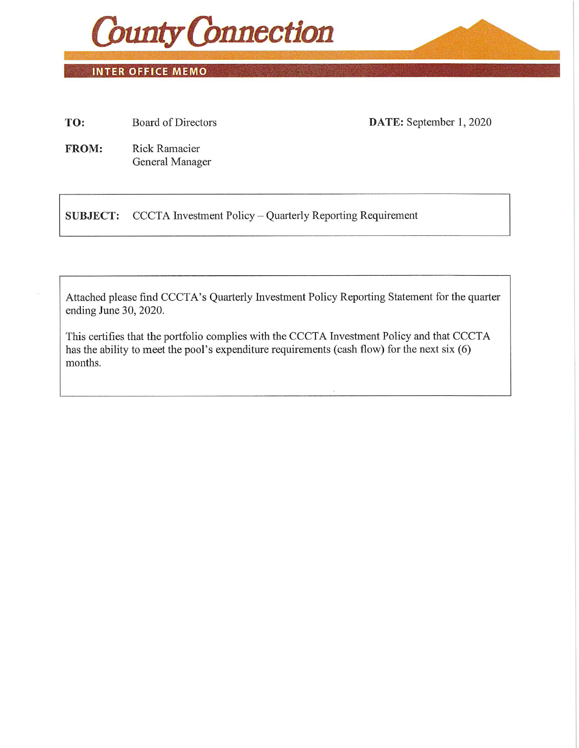

**INTER OFFICE MEMO** 

TO: Board of Directors DATE: September 1, 2020

FROM: Rick Ramacier General Manager

SUBJECT: CCCTA Investment Policy - Quarterly Reporting Requirement

Attached please find CCCTA's Quarterly Investment Policy Reporting Statement for the quarter ending June 30, 2020.

This certifies that the portfolio complies with the CCCTA Investment Policy and that CCCTA has the ability to meet the pool's expenditure requirements (cash flow) for the next six (6) months.